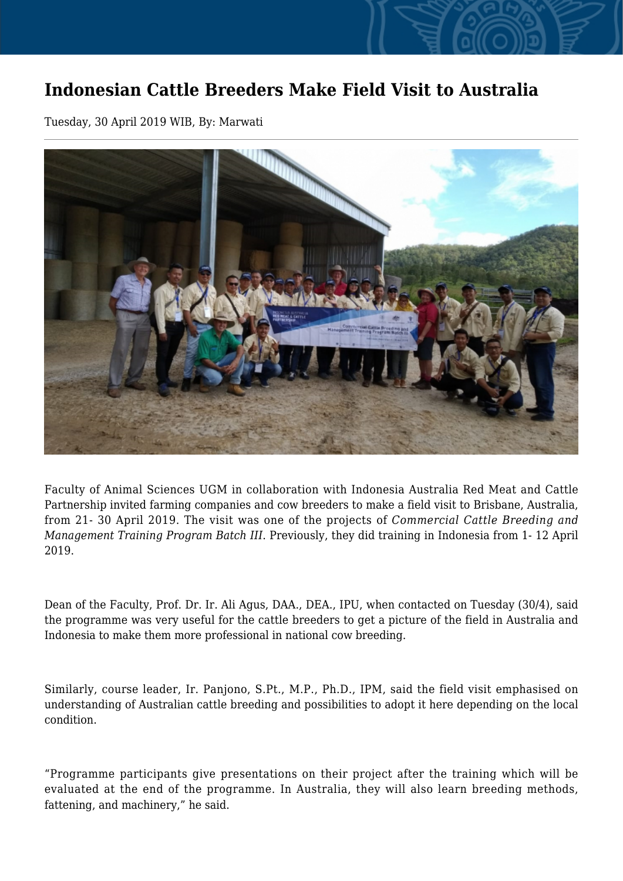## **Indonesian Cattle Breeders Make Field Visit to Australia**

Tuesday, 30 April 2019 WIB, By: Marwati



Faculty of Animal Sciences UGM in collaboration with Indonesia Australia Red Meat and Cattle Partnership invited farming companies and cow breeders to make a field visit to Brisbane, Australia, from 21- 30 April 2019. The visit was one of the projects of *Commercial Cattle Breeding and Management Training Program Batch III*. Previously, they did training in Indonesia from 1- 12 April 2019.

Dean of the Faculty, Prof. Dr. Ir. Ali Agus, DAA., DEA., IPU, when contacted on Tuesday (30/4), said the programme was very useful for the cattle breeders to get a picture of the field in Australia and Indonesia to make them more professional in national cow breeding.

Similarly, course leader, Ir. Panjono, S.Pt., M.P., Ph.D., IPM, said the field visit emphasised on understanding of Australian cattle breeding and possibilities to adopt it here depending on the local condition.

"Programme participants give presentations on their project after the training which will be evaluated at the end of the programme. In Australia, they will also learn breeding methods, fattening, and machinery," he said.